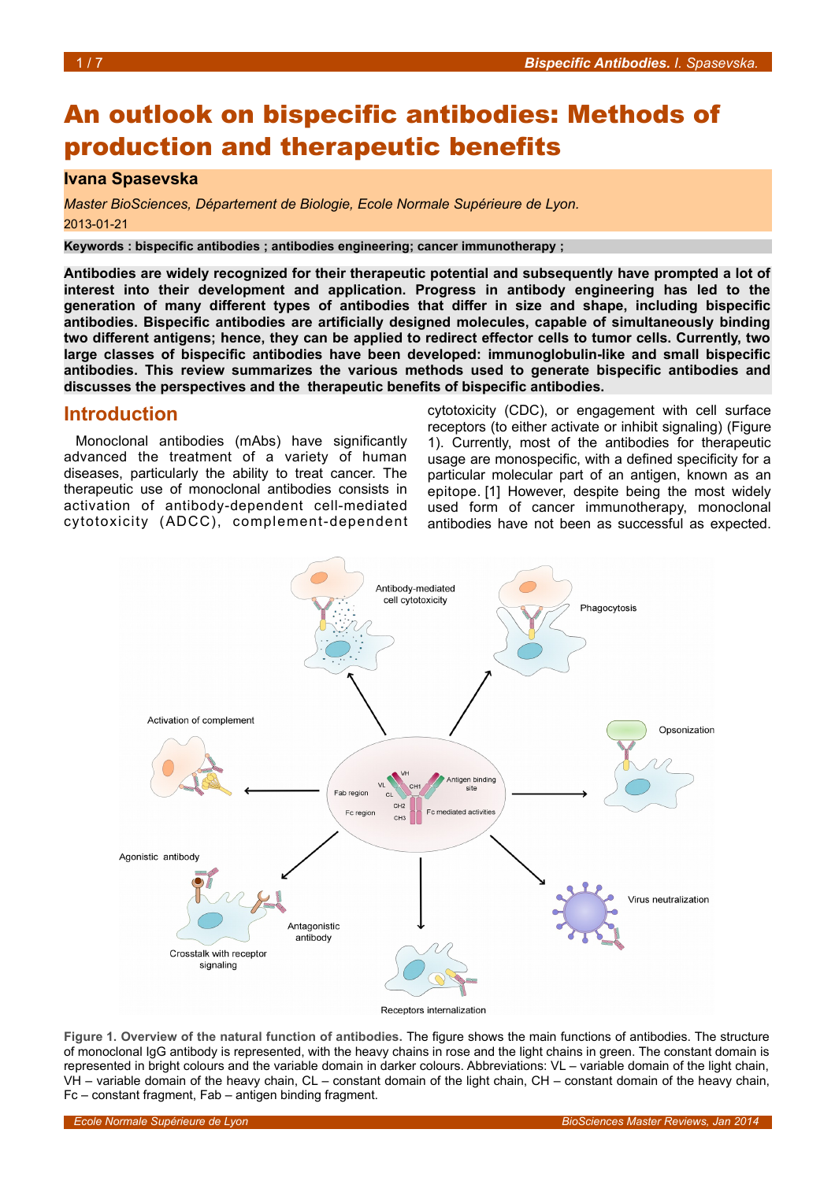# An outlook on bispecific antibodies: Methods of production and therapeutic benefits

### **Ivana Spasevska**

*Master BioSciences, Département de Biologie, Ecole Normale Supérieure de Lyon.* 2013-01-21

**Keywords : bispecific antibodies ; antibodies engineering; cancer immunotherapy ;** 

**Antibodies are widely recognized for their therapeutic potential and subsequently have prompted a lot of interest into their development and application. Progress in antibody engineering has led to the generation of many different types of antibodies that differ in size and shape, including bispecific antibodies. Bispecific antibodies are artificially designed molecules, capable of simultaneously binding two different antigens; hence, they can be applied to redirect effector cells to tumor cells. Currently, two large classes of bispecific antibodies have been developed: immunoglobulin-like and small bispecific antibodies. This review summarizes the various methods used to generate bispecific antibodies and discusses the perspectives and the therapeutic benefits of bispecific antibodies.**

## **Introduction**

Monoclonal antibodies (mAbs) have significantly advanced the treatment of a variety of human diseases, particularly the ability to treat cancer. The therapeutic use of monoclonal antibodies consists in activation of antibody-dependent cell-mediated cytotoxicity (ADCC), complement-dependent cytotoxicity (CDC), or engagement with cell surface receptors (to either activate or inhibit signaling) (Figure [1\)](#page-0-0). Currently, most of the antibodies for therapeutic usage are monospecific, with a defined specificity for a particular molecular part of an antigen, known as an epitope. [1] However, despite being the most widely used form of cancer immunotherapy, monoclonal antibodies have not been as successful as expected.



Receptors internalization

<span id="page-0-0"></span>**Figure 1. Overview of the natural function of antibodies.** The figure shows the main functions of antibodies. The structure of monoclonal IgG antibody is represented, with the heavy chains in rose and the light chains in green. The constant domain is represented in bright colours and the variable domain in darker colours. Abbreviations: VL – variable domain of the light chain, VH – variable domain of the heavy chain, CL – constant domain of the light chain, CH – constant domain of the heavy chain, Fc – constant fragment, Fab – antigen binding fragment.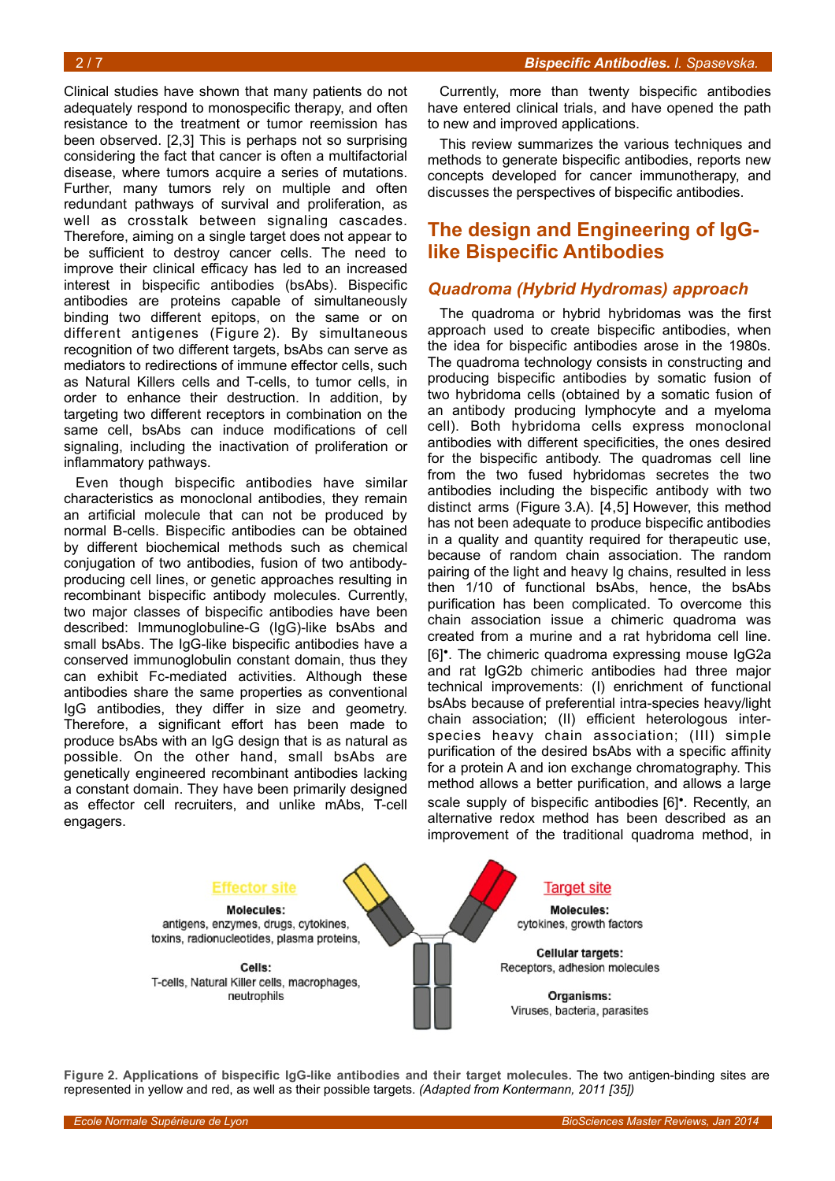Clinical studies have shown that many patients do not adequately respond to monospecific therapy, and often resistance to the treatment or tumor reemission has been observed. [2,3] This is perhaps not so surprising considering the fact that cancer is often a multifactorial disease, where tumors acquire a series of mutations. Further, many tumors rely on multiple and often redundant pathways of survival and proliferation, as well as crosstalk between signaling cascades. Therefore, aiming on a single target does not appear to be sufficient to destroy cancer cells. The need to improve their clinical efficacy has led to an increased interest in bispecific antibodies (bsAbs). Bispecific antibodies are proteins capable of simultaneously binding two different epitops, on the same or on different antigenes (Figure [2\)](#page-1-0). By simultaneous recognition of two different targets, bsAbs can serve as mediators to redirections of immune effector cells, such as Natural Killers cells and T-cells, to tumor cells, in order to enhance their destruction. In addition, by targeting two different receptors in combination on the same cell, bsAbs can induce modifications of cell signaling, including the inactivation of proliferation or inflammatory pathways.

Even though bispecific antibodies have similar characteristics as monoclonal antibodies, they remain an artificial molecule that can not be produced by normal B-cells. Bispecific antibodies can be obtained by different biochemical methods such as chemical conjugation of two antibodies, fusion of two antibodyproducing cell lines, or genetic approaches resulting in recombinant bispecific antibody molecules. Currently, two major classes of bispecific antibodies have been described: Immunoglobuline-G (IgG)-like bsAbs and small bsAbs. The IgG-like bispecific antibodies have a conserved immunoglobulin constant domain, thus they can exhibit Fc-mediated activities. Although these antibodies share the same properties as conventional IgG antibodies, they differ in size and geometry. Therefore, a significant effort has been made to produce bsAbs with an IgG design that is as natural as possible. On the other hand, small bsAbs are genetically engineered recombinant antibodies lacking a constant domain. They have been primarily designed as effector cell recruiters, and unlike mAbs, T-cell engagers.

Currently, more than twenty bispecific antibodies have entered clinical trials, and have opened the path to new and improved applications.

This review summarizes the various techniques and methods to generate bispecific antibodies, reports new concepts developed for cancer immunotherapy, and discusses the perspectives of bispecific antibodies.

## **The design and Engineering of IgGlike Bispecific Antibodies**

### *Quadroma (Hybrid Hydromas) approach*

The quadroma or hybrid hybridomas was the first approach used to create bispecific antibodies, when the idea for bispecific antibodies arose in the 1980s. The quadroma technology consists in constructing and producing bispecific antibodies by somatic fusion of two hybridoma cells (obtained by a somatic fusion of an antibody producing lymphocyte and a myeloma cell). Both hybridoma cells express monoclonal antibodies with different specificities, the ones desired for the bispecific antibody. The quadromas cell line from the two fused hybridomas secretes the two antibodies including the bispecific antibody with two distinct arms (Figure [3.](#page-2-0)A). [4,5] However, this method has not been adequate to produce bispecific antibodies in a quality and quantity required for therapeutic use, because of random chain association. The random pairing of the light and heavy Ig chains, resulted in less then 1/10 of functional bsAbs, hence, the bsAbs purification has been complicated. To overcome this chain association issue a chimeric quadroma was created from a murine and a rat hybridoma cell line. [6]•. The chimeric quadroma expressing mouse IgG2a and rat IgG2b chimeric antibodies had three major technical improvements: (I) enrichment of functional bsAbs because of preferential intra-species heavy/light chain association; (II) efficient heterologous interspecies heavy chain association; (III) simple purification of the desired bsAbs with a specific affinity for a protein A and ion exchange chromatography. This method allows a better purification, and allows a large scale supply of bispecific antibodies [6]•. Recently, an alternative redox method has been described as an improvement of the traditional quadroma method, in



<span id="page-1-0"></span>**Figure 2. Applications of bispecific IgG-like antibodies and their target molecules.** The two antigen-binding sites are represented in yellow and red, as well as their possible targets. *(Adapted from Kontermann, 2011 [35])*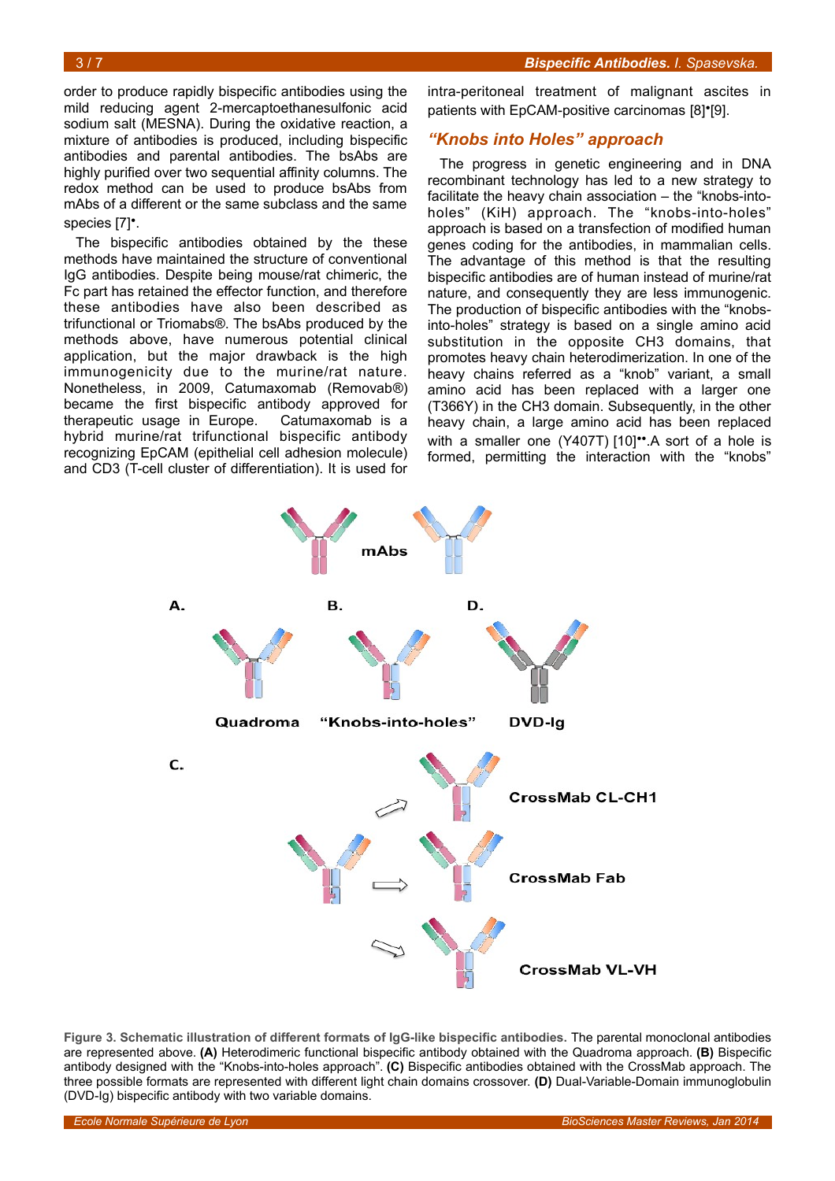order to produce rapidly bispecific antibodies using the mild reducing agent 2-mercaptoethanesulfonic acid sodium salt (MESNA). During the oxidative reaction, a mixture of antibodies is produced, including bispecific antibodies and parental antibodies. The bsAbs are highly purified over two sequential affinity columns. The redox method can be used to produce bsAbs from mAbs of a different or the same subclass and the same species [7]•.

The bispecific antibodies obtained by the these methods have maintained the structure of conventional IgG antibodies. Despite being mouse/rat chimeric, the Fc part has retained the effector function, and therefore these antibodies have also been described as trifunctional or Triomabs®. The bsAbs produced by the methods above, have numerous potential clinical application, but the major drawback is the high immunogenicity due to the murine/rat nature. Nonetheless, in 2009, Catumaxomab (Removab®) became the first bispecific antibody approved for therapeutic usage in Europe. Catumaxomab is a hybrid murine/rat trifunctional bispecific antibody recognizing EpCAM (epithelial cell adhesion molecule) and CD3 (T-cell cluster of differentiation). It is used for

intra-peritoneal treatment of malignant ascites in patients with EpCAM-positive carcinomas [8]<sup>•</sup>[9].

### *"Knobs into Holes" approach*

The progress in genetic engineering and in DNA recombinant technology has led to a new strategy to facilitate the heavy chain association – the "knobs-intoholes" (KiH) approach. The "knobs-into-holes" approach is based on a transfection of modified human genes coding for the antibodies, in mammalian cells. The advantage of this method is that the resulting bispecific antibodies are of human instead of murine/rat nature, and consequently they are less immunogenic. The production of bispecific antibodies with the "knobsinto-holes" strategy is based on a single amino acid substitution in the opposite CH3 domains, that promotes heavy chain heterodimerization. In one of the heavy chains referred as a "knob" variant, a small amino acid has been replaced with a larger one (T366Y) in the CH3 domain. Subsequently, in the other heavy chain, a large amino acid has been replaced with a smaller one (Y407T) [10]<sup>\*\*</sup>.A sort of a hole is formed, permitting the interaction with the "knobs"



<span id="page-2-0"></span>**Figure 3. Schematic illustration of different formats of IgG-like bispecific antibodies.** The parental monoclonal antibodies are represented above. **(A)** Heterodimeric functional bispecific antibody obtained with the Quadroma approach. **(B)** Bispecific antibody designed with the "Knobs-into-holes approach". **(C)** Bispecific antibodies obtained with the CrossMab approach. The three possible formats are represented with different light chain domains crossover. **(D)** Dual-Variable-Domain immunoglobulin (DVD-Ig) bispecific antibody with two variable domains.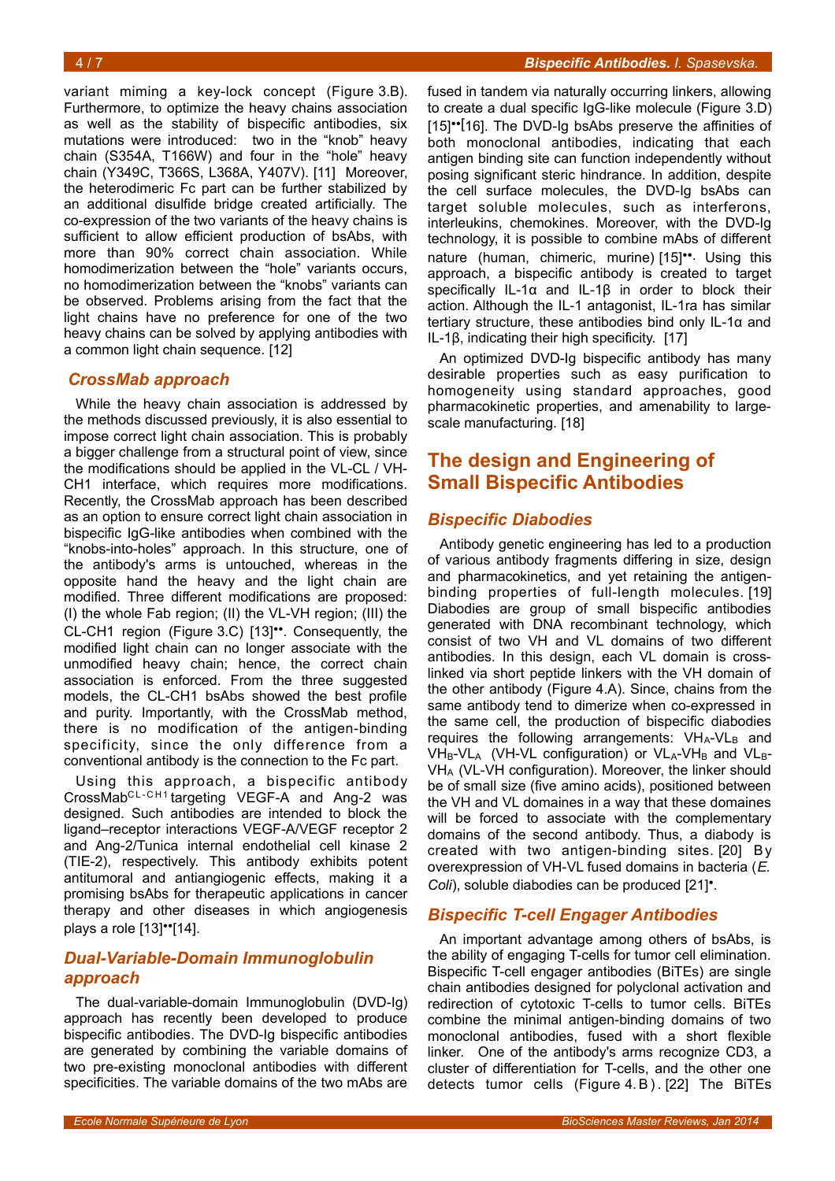variant miming a key-lock concept (Figure [3.](#page-2-0)B). Furthermore, to optimize the heavy chains association as well as the stability of bispecific antibodies, six mutations were introduced: two in the "knob" heavy chain (S354A, T166W) and four in the "hole" heavy chain (Y349C, T366S, L368A, Y407V). [11] Moreover, the heterodimeric Fc part can be further stabilized by an additional disulfide bridge created artificially. The co-expression of the two variants of the heavy chains is sufficient to allow efficient production of bsAbs, with more than 90% correct chain association. While homodimerization between the "hole" variants occurs, no homodimerization between the "knobs" variants can be observed. Problems arising from the fact that the light chains have no preference for one of the two heavy chains can be solved by applying antibodies with a common light chain sequence. [12]

### *CrossMab approach*

While the heavy chain association is addressed by the methods discussed previously, it is also essential to impose correct light chain association. This is probably a bigger challenge from a structural point of view, since the modifications should be applied in the VL-CL / VH-CH1 interface, which requires more modifications. Recently, the CrossMab approach has been described as an option to ensure correct light chain association in bispecific IgG-like antibodies when combined with the "knobs-into-holes" approach. In this structure, one of the antibody's arms is untouched, whereas in the opposite hand the heavy and the light chain are modified. Three different modifications are proposed: (I) the whole Fab region; (II) the VL-VH region; (III) the CL-CH1 region (Figure [3.](#page-2-0)C) [13]••. Consequently, the modified light chain can no longer associate with the unmodified heavy chain; hence, the correct chain association is enforced. From the three suggested models, the CL-CH1 bsAbs showed the best profile and purity. Importantly, with the CrossMab method, there is no modification of the antigen-binding specificity, since the only difference from a conventional antibody is the connection to the Fc part.

Using this approach, a bispecific antibody CrossMabCL-CH1 targeting VEGF-A and Ang-2 was designed. Such antibodies are intended to block the ligand–receptor interactions VEGF-A/VEGF receptor 2 and Ang-2/Tunica internal endothelial cell kinase 2 (TIE-2), respectively. This antibody exhibits potent antitumoral and antiangiogenic effects, making it a promising bsAbs for therapeutic applications in cancer therapy and other diseases in which angiogenesis plays a role [13]••[14].

## *Dual-Variable-Domain Immunoglobulin approach*

The dual-variable-domain Immunoglobulin (DVD-Ig) approach has recently been developed to produce bispecific antibodies. The DVD-Ig bispecific antibodies are generated by combining the variable domains of two pre-existing monoclonal antibodies with different specificities. The variable domains of the two mAbs are fused in tandem via naturally occurring linkers, allowing to create a dual specific IgG-like molecule (Figure [3.](#page-2-0)D) [15]<sup>••[16]</sup>. The DVD-Ig bsAbs preserve the affinities of both monoclonal antibodies, indicating that each antigen binding site can function independently without posing significant steric hindrance. In addition, despite the cell surface molecules, the DVD-Ig bsAbs can target soluble molecules, such as interferons, interleukins, chemokines. Moreover, with the DVD-Ig technology, it is possible to combine mAbs of different nature (human, chimeric, murine) [15]<sup>••</sup>. Using this approach, a bispecific antibody is created to target specifically IL-1α and IL-1β in order to block their action. Although the IL-1 antagonist, IL-1ra has similar tertiary structure, these antibodies bind only IL-1α and IL-1β, indicating their high specificity. [17]

An optimized DVD-Ig bispecific antibody has many desirable properties such as easy purification to homogeneity using standard approaches, good pharmacokinetic properties, and amenability to largescale manufacturing. [18]

## **The design and Engineering of Small Bispecific Antibodies**

## *Bispecific Diabodies*

Antibody genetic engineering has led to a production of various antibody fragments differing in size, design and pharmacokinetics, and yet retaining the antigenbinding properties of full-length molecules. [19] Diabodies are group of small bispecific antibodies generated with DNA recombinant technology, which consist of two VH and VL domains of two different antibodies. In this design, each VL domain is crosslinked via short peptide linkers with the VH domain of the other antibody (Figure [4.](#page-4-0)A). Since, chains from the same antibody tend to dimerize when co-expressed in the same cell, the production of bispecific diabodies requires the following arrangements:  $VH_A-VL_B$  and  $V\text{H}_{\text{B}}\text{-}V\text{L}_{\text{A}}$  (VH-VL configuration) or VL<sub>A</sub>-VH<sub>B</sub> and VL<sub>B</sub>-VHA (VL-VH configuration). Moreover, the linker should be of small size (five amino acids), positioned between the VH and VL domaines in a way that these domaines will be forced to associate with the complementary domains of the second antibody. Thus, a diabody is created with two antigen-binding sites. [20] By overexpression of VH-VL fused domains in bacteria (*E. Coli*), soluble diabodies can be produced [21]•.

## *Bispecific T-cell Engager Antibodies*

An important advantage among others of bsAbs, is the ability of engaging T-cells for tumor cell elimination. Bispecific T-cell engager antibodies (BiTEs) are single chain antibodies designed for polyclonal activation and redirection of cytotoxic T-cells to tumor cells. BiTEs combine the minimal antigen-binding domains of two monoclonal antibodies, fused with a short flexible linker. One of the antibody's arms recognize CD3, a cluster of differentiation for T-cells, and the other one detects tumor cells (Figure [4.](#page-4-0)B). [22] The BiTEs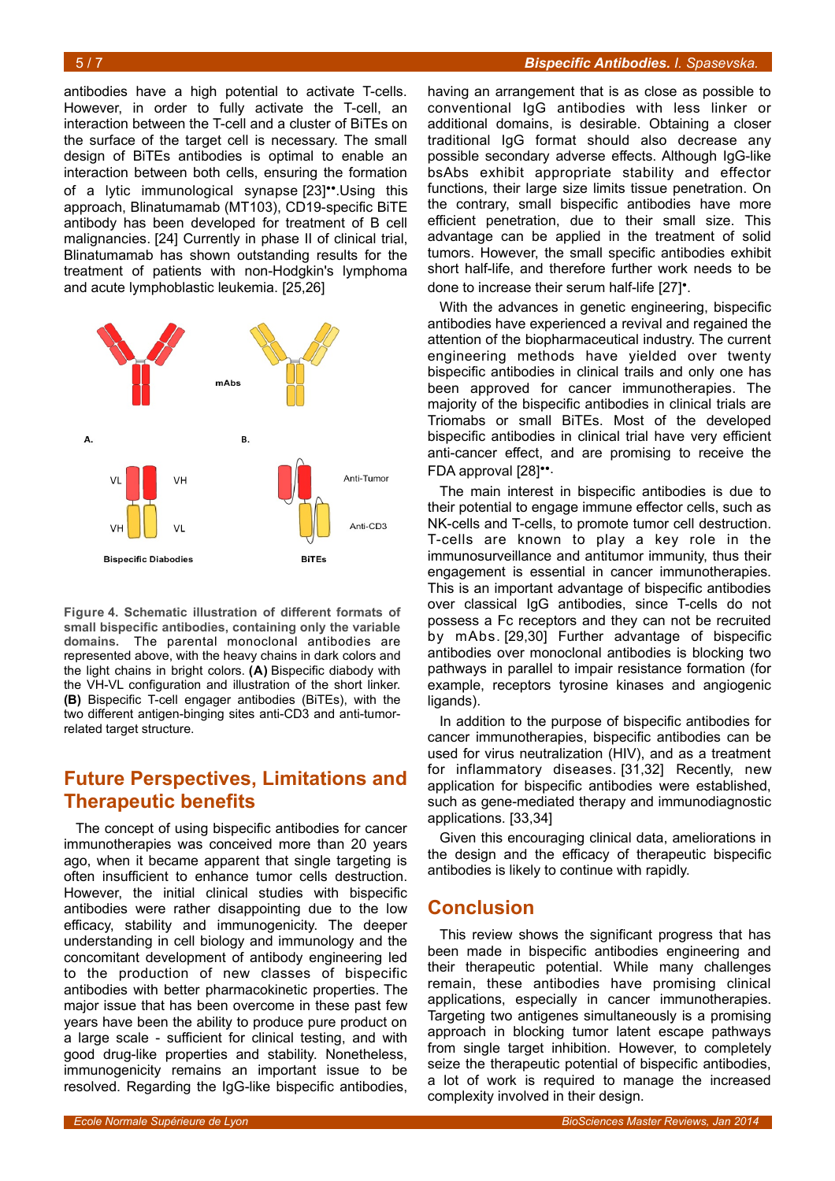antibodies have a high potential to activate T-cells. However, in order to fully activate the T-cell, an interaction between the T-cell and a cluster of BiTEs on the surface of the target cell is necessary. The small design of BiTEs antibodies is optimal to enable an interaction between both cells, ensuring the formation of a lytic immunological synapse [23]••.Using this approach, Blinatumamab (MT103), CD19-specific BiTE antibody has been developed for treatment of B cell malignancies. [24] Currently in phase II of clinical trial, Blinatumamab has shown outstanding results for the treatment of patients with non-Hodgkin's lymphoma and acute lymphoblastic leukemia. [25,26]



<span id="page-4-0"></span>**Figure 4. Schematic illustration of different formats of small bispecific antibodies, containing only the variable domains.** The parental monoclonal antibodies are represented above, with the heavy chains in dark colors and the light chains in bright colors. **(A)** Bispecific diabody with the VH-VL configuration and illustration of the short linker. **(B)** Bispecific T-cell engager antibodies (BiTEs), with the two different antigen-binging sites anti-CD3 and anti-tumorrelated target structure.

## **Future Perspectives, Limitations and Therapeutic benefits**

The concept of using bispecific antibodies for cancer immunotherapies was conceived more than 20 years ago, when it became apparent that single targeting is often insufficient to enhance tumor cells destruction. However, the initial clinical studies with bispecific antibodies were rather disappointing due to the low efficacy, stability and immunogenicity. The deeper understanding in cell biology and immunology and the concomitant development of antibody engineering led to the production of new classes of bispecific antibodies with better pharmacokinetic properties. The major issue that has been overcome in these past few years have been the ability to produce pure product on a large scale - sufficient for clinical testing, and with good drug-like properties and stability. Nonetheless, immunogenicity remains an important issue to be resolved. Regarding the IgG-like bispecific antibodies,

having an arrangement that is as close as possible to conventional IgG antibodies with less linker or additional domains, is desirable. Obtaining a closer traditional IgG format should also decrease any possible secondary adverse effects. Although IgG-like bsAbs exhibit appropriate stability and effector functions, their large size limits tissue penetration. On the contrary, small bispecific antibodies have more efficient penetration, due to their small size. This advantage can be applied in the treatment of solid tumors. However, the small specific antibodies exhibit short half-life, and therefore further work needs to be done to increase their serum half-life [27]•.

With the advances in genetic engineering, bispecific antibodies have experienced a revival and regained the attention of the biopharmaceutical industry. The current engineering methods have yielded over twenty bispecific antibodies in clinical trails and only one has been approved for cancer immunotherapies. The majority of the bispecific antibodies in clinical trials are Triomabs or small BiTEs. Most of the developed bispecific antibodies in clinical trial have very efficient anti-cancer effect, and are promising to receive the FDA approval [28]••.

The main interest in bispecific antibodies is due to their potential to engage immune effector cells, such as NK-cells and T-cells, to promote tumor cell destruction. T-cells are known to play a key role in the immunosurveillance and antitumor immunity, thus their engagement is essential in cancer immunotherapies. This is an important advantage of bispecific antibodies over classical IgG antibodies, since T-cells do not possess a Fc receptors and they can not be recruited by mAbs. [29,30] Further advantage of bispecific antibodies over monoclonal antibodies is blocking two pathways in parallel to impair resistance formation (for example, receptors tyrosine kinases and angiogenic ligands).

In addition to the purpose of bispecific antibodies for cancer immunotherapies, bispecific antibodies can be used for virus neutralization (HIV), and as a treatment for inflammatory diseases. [31,32] Recently, new application for bispecific antibodies were established, such as gene-mediated therapy and immunodiagnostic applications. [33,34]

Given this encouraging clinical data, ameliorations in the design and the efficacy of therapeutic bispecific antibodies is likely to continue with rapidly.

## **Conclusion**

This review shows the significant progress that has been made in bispecific antibodies engineering and their therapeutic potential. While many challenges remain, these antibodies have promising clinical applications, especially in cancer immunotherapies. Targeting two antigenes simultaneously is a promising approach in blocking tumor latent escape pathways from single target inhibition. However, to completely seize the therapeutic potential of bispecific antibodies, a lot of work is required to manage the increased complexity involved in their design.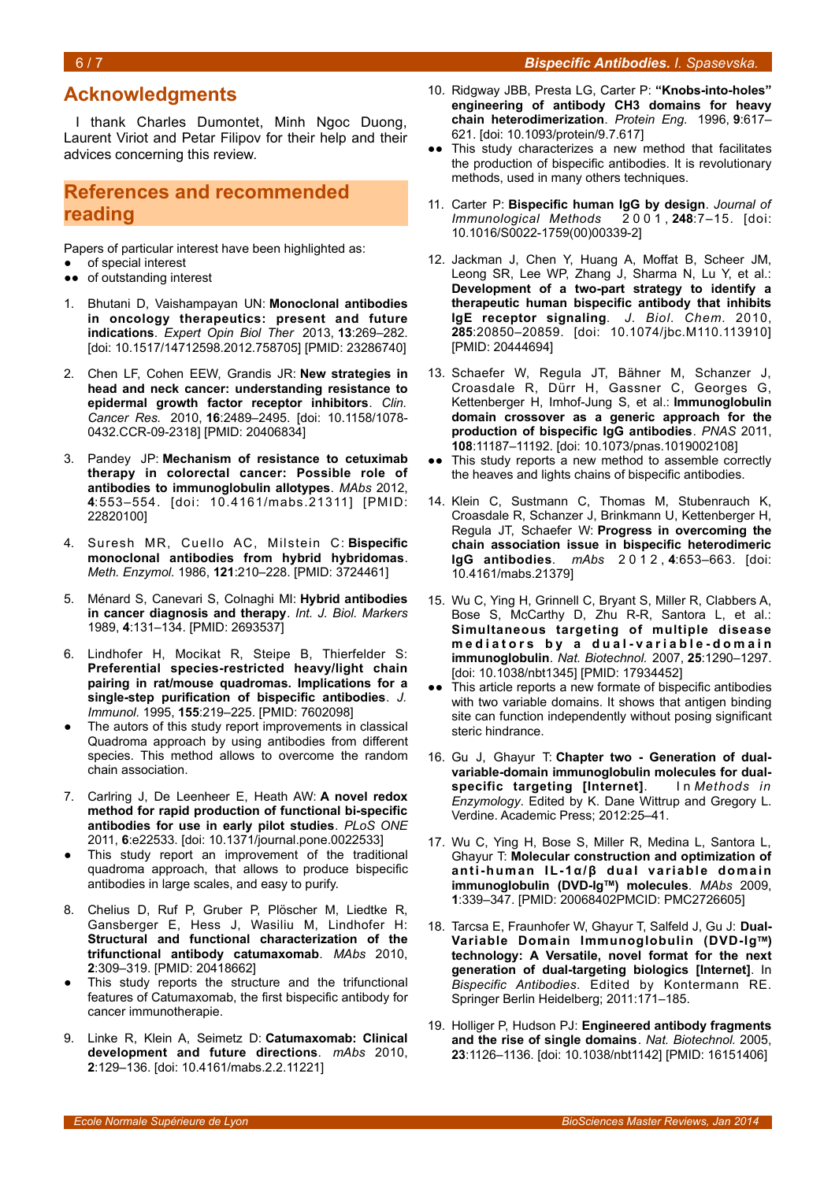### **Acknowledgments**

I thank Charles Dumontet, Minh Ngoc Duong, Laurent Viriot and Petar Filipov for their help and their advices concerning this review.

## **References and recommended reading**

Papers of particular interest have been highlighted as:

- of special interest
- ●● of outstanding interest
- 1. Bhutani D, Vaishampayan UN: **Monoclonal antibodies in oncology therapeutics: present and future indications**. *Expert Opin Biol Ther* 2013, **13**:269–282. [doi: 10.1517/14712598.2012.758705] [PMID: 23286740]
- 2. Chen LF, Cohen EEW, Grandis JR: **New strategies in head and neck cancer: understanding resistance to epidermal growth factor receptor inhibitors**. *Clin. Cancer Res.* 2010, **16**:2489–2495. [doi: 10.1158/1078- 0432.CCR-09-2318] [PMID: 20406834]
- 3. Pandey JP: **Mechanism of resistance to cetuximab therapy in colorectal cancer: Possible role of antibodies to immunoglobulin allotypes**. *MAbs* 2012, **4**:553–554. [doi: 10.4161/mabs.21311] [PMID: 22820100]
- 4. Suresh MR, Cuello AC, Milstein C: **Bispecific monoclonal antibodies from hybrid hybridomas**. *Meth. Enzymol.* 1986, **121**:210–228. [PMID: 3724461]
- 5. Ménard S, Canevari S, Colnaghi MI: **Hybrid antibodies in cancer diagnosis and therapy**. *Int. J. Biol. Markers* 1989, **4**:131–134. [PMID: 2693537]
- 6. Lindhofer H, Mocikat R, Steipe B, Thierfelder S: **Preferential species-restricted heavy/light chain pairing in rat/mouse quadromas. Implications for a single-step purification of bispecific antibodies**. *J. Immunol.* 1995, **155**:219–225. [PMID: 7602098]
- The autors of this study report improvements in classical Quadroma approach by using antibodies from different species. This method allows to overcome the random chain association.
- 7. Carlring J, De Leenheer E, Heath AW: **A novel redox method for rapid production of functional bi-specific antibodies for use in early pilot studies**. *PLoS ONE* 2011, **6**:e22533. [doi: 10.1371/journal.pone.0022533]
- This study report an improvement of the traditional quadroma approach, that allows to produce bispecific antibodies in large scales, and easy to purify.
- 8. Chelius D, Ruf P, Gruber P, Plöscher M, Liedtke R, Gansberger E, Hess J, Wasiliu M, Lindhofer H: **Structural and functional characterization of the trifunctional antibody catumaxomab**. *MAbs* 2010, **2**:309–319. [PMID: 20418662]
- This study reports the structure and the trifunctional features of Catumaxomab, the first bispecific antibody for cancer immunotherapie.
- 9. Linke R, Klein A, Seimetz D: **Catumaxomab: Clinical development and future directions**. *mAbs* 2010, **2**:129–136. [doi: 10.4161/mabs.2.2.11221]
- 10. Ridgway JBB, Presta LG, Carter P: **"Knobs-into-holes" engineering of antibody CH3 domains for heavy chain heterodimerization**. *Protein Eng.* 1996, **9**:617– 621. [doi: 10.1093/protein/9.7.617]
- This study characterizes a new method that facilitates the production of bispecific antibodies. It is revolutionary methods, used in many others techniques.
- 11. Carter P: **Bispecific human IgG by design**. *Journal of Immunological Methods* 2 0 0 1 , **248**:7–15. [doi: 10.1016/S0022-1759(00)00339-2]
- 12. Jackman J, Chen Y, Huang A, Moffat B, Scheer JM, Leong SR, Lee WP, Zhang J, Sharma N, Lu Y, et al.: **Development of a two-part strategy to identify a therapeutic human bispecific antibody that inhibits IgE receptor signaling**. *J. Biol. Chem.* 2010, **285**:20850–20859. [doi: 10.1074/jbc.M110.113910] [PMID: 20444694]
- 13. Schaefer W, Regula JT, Bähner M, Schanzer J, Croasdale R, Dürr H, Gassner C, Georges G, Kettenberger H, Imhof-Jung S, et al.: **Immunoglobulin domain crossover as a generic approach for the production of bispecific IgG antibodies**. *PNAS* 2011, **108**:11187–11192. [doi: 10.1073/pnas.1019002108]
- ●● This study reports a new method to assemble correctly the heaves and lights chains of bispecific antibodies.
- 14. Klein C, Sustmann C, Thomas M, Stubenrauch K, Croasdale R, Schanzer J, Brinkmann U, Kettenberger H, Regula JT, Schaefer W: **Progress in overcoming the chain association issue in bispecific heterodimeric IgG antibodies**. *mAbs* 2 0 1 2 , **4**:653–663. [doi: 10.4161/mabs.21379]
- 15. Wu C, Ying H, Grinnell C, Bryant S, Miller R, Clabbers A, Bose S, McCarthy D, Zhu R-R, Santora L, et al.: **Simultaneous targeting of multiple disease** mediators by a dual-variable-domain **immunoglobulin**. *Nat. Biotechnol.* 2007, **25**:1290–1297. [doi: 10.1038/nbt1345] [PMID: 17934452]
- ●● This article reports a new formate of bispecific antibodies with two variable domains. It shows that antigen binding site can function independently without posing significant steric hindrance.
- 16. Gu J, Ghayur T: **Chapter two Generation of dualvariable-domain immunoglobulin molecules for dualspecific targeting [Internet]**. I n *Methods in Enzymology*. Edited by K. Dane Wittrup and Gregory L. Verdine. Academic Press; 2012:25–41.
- 17. Wu C, Ying H, Bose S, Miller R, Medina L, Santora L, Ghayur T: **Molecular construction and optimization of anti-human IL-1α/β dual variable domain immunoglobulin (DVD-IgTM) molecules**. *MAbs* 2009, **1**:339–347. [PMID: 20068402PMCID: PMC2726605]
- 18. Tarcsa E, Fraunhofer W, Ghayur T, Salfeld J, Gu J: **Dual-Variable Domain Immunoglobulin (DVD-IgTM) technology: A Versatile, novel format for the next generation of dual-targeting biologics [Internet]**. In *Bispecific Antibodies*. Edited by Kontermann RE. Springer Berlin Heidelberg; 2011:171–185.
- 19. Holliger P, Hudson PJ: **Engineered antibody fragments and the rise of single domains**. *Nat. Biotechnol.* 2005, **23**:1126–1136. [doi: 10.1038/nbt1142] [PMID: 16151406]